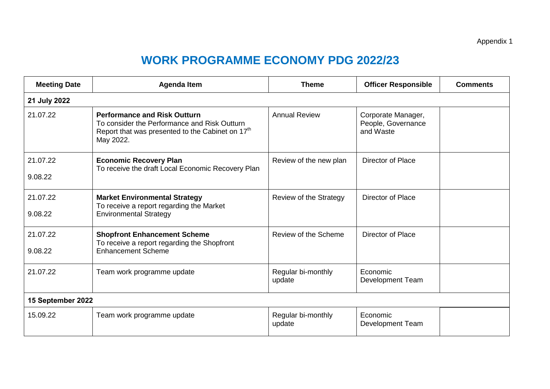## **WORK PROGRAMME ECONOMY PDG 2022/23**

| <b>Meeting Date</b> | <b>Agenda Item</b>                                                                                                                                               | <b>Theme</b>                 | <b>Officer Responsible</b>                            | <b>Comments</b> |  |  |  |  |
|---------------------|------------------------------------------------------------------------------------------------------------------------------------------------------------------|------------------------------|-------------------------------------------------------|-----------------|--|--|--|--|
| 21 July 2022        |                                                                                                                                                                  |                              |                                                       |                 |  |  |  |  |
| 21.07.22            | <b>Performance and Risk Outturn</b><br>To consider the Performance and Risk Outturn<br>Report that was presented to the Cabinet on 17 <sup>th</sup><br>May 2022. | <b>Annual Review</b>         | Corporate Manager,<br>People, Governance<br>and Waste |                 |  |  |  |  |
| 21.07.22<br>9.08.22 | <b>Economic Recovery Plan</b><br>To receive the draft Local Economic Recovery Plan                                                                               | Review of the new plan       | Director of Place                                     |                 |  |  |  |  |
| 21.07.22<br>9.08.22 | <b>Market Environmental Strategy</b><br>To receive a report regarding the Market<br><b>Environmental Strategy</b>                                                | Review of the Strategy       | Director of Place                                     |                 |  |  |  |  |
| 21.07.22<br>9.08.22 | <b>Shopfront Enhancement Scheme</b><br>To receive a report regarding the Shopfront<br><b>Enhancement Scheme</b>                                                  | Review of the Scheme         | Director of Place                                     |                 |  |  |  |  |
| 21.07.22            | Team work programme update                                                                                                                                       | Regular bi-monthly<br>update | Economic<br>Development Team                          |                 |  |  |  |  |
| 15 September 2022   |                                                                                                                                                                  |                              |                                                       |                 |  |  |  |  |
| 15.09.22            | Team work programme update                                                                                                                                       | Regular bi-monthly<br>update | Economic<br><b>Development Team</b>                   |                 |  |  |  |  |